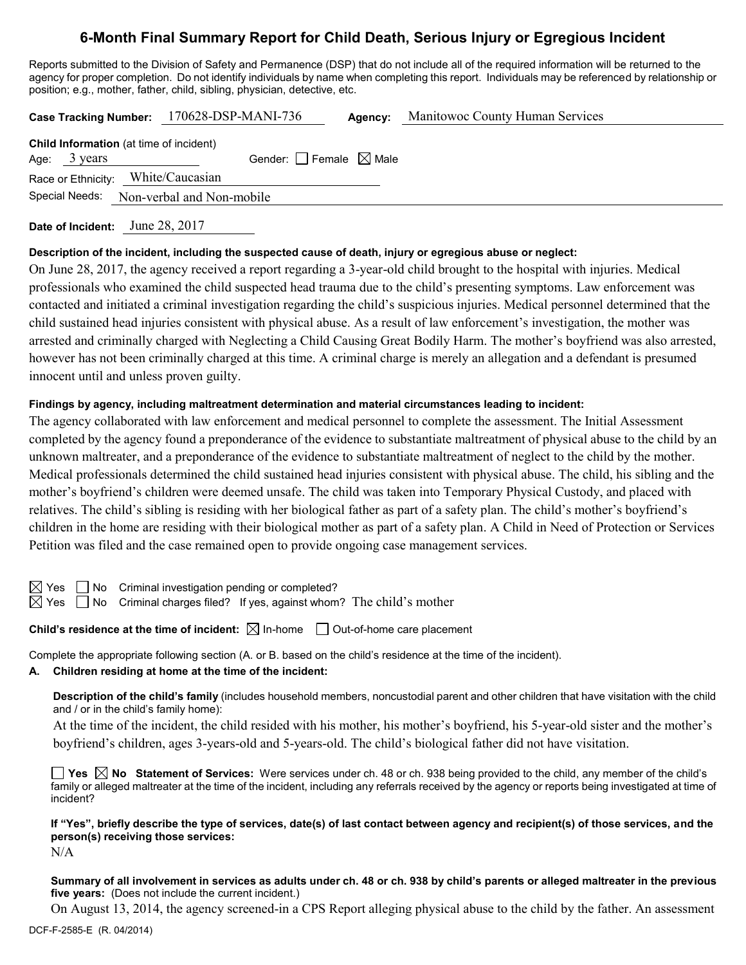# **6-Month Final Summary Report for Child Death, Serious Injury or Egregious Incident**

Reports submitted to the Division of Safety and Permanence (DSP) that do not include all of the required information will be returned to the agency for proper completion. Do not identify individuals by name when completing this report. Individuals may be referenced by relationship or position; e.g., mother, father, child, sibling, physician, detective, etc.

| Case Tracking Number: 170628-DSP-MANI-736      |                                       | <b>Agency:</b> Manitowoc County Human Services |
|------------------------------------------------|---------------------------------------|------------------------------------------------|
| <b>Child Information</b> (at time of incident) |                                       |                                                |
| Age: $3 \text{ years}$                         | Gender: $ $   Female $\boxtimes$ Male |                                                |
| Race or Ethnicity: White/Caucasian             |                                       |                                                |
| Special Needs: Non-verbal and Non-mobile       |                                       |                                                |
|                                                |                                       |                                                |

**Date of Incident:** June 28, 2017

### **Description of the incident, including the suspected cause of death, injury or egregious abuse or neglect:**

On June 28, 2017, the agency received a report regarding a 3-year-old child brought to the hospital with injuries. Medical professionals who examined the child suspected head trauma due to the child's presenting symptoms. Law enforcement was contacted and initiated a criminal investigation regarding the child's suspicious injuries. Medical personnel determined that the child sustained head injuries consistent with physical abuse. As a result of law enforcement's investigation, the mother was arrested and criminally charged with Neglecting a Child Causing Great Bodily Harm. The mother's boyfriend was also arrested, however has not been criminally charged at this time. A criminal charge is merely an allegation and a defendant is presumed innocent until and unless proven guilty.

### **Findings by agency, including maltreatment determination and material circumstances leading to incident:**

The agency collaborated with law enforcement and medical personnel to complete the assessment. The Initial Assessment completed by the agency found a preponderance of the evidence to substantiate maltreatment of physical abuse to the child by an unknown maltreater, and a preponderance of the evidence to substantiate maltreatment of neglect to the child by the mother. Medical professionals determined the child sustained head injuries consistent with physical abuse. The child, his sibling and the mother's boyfriend's children were deemed unsafe. The child was taken into Temporary Physical Custody, and placed with relatives. The child's sibling is residing with her biological father as part of a safety plan. The child's mother's boyfriend's children in the home are residing with their biological mother as part of a safety plan. A Child in Need of Protection or Services Petition was filed and the case remained open to provide ongoing case management services.

 $\boxtimes$  Yes  $\Box$  No Criminal investigation pending or completed?

 $\boxtimes$  Yes  $\Box$  No Criminal charges filed? If yes, against whom? The child's mother

## **Child's residence at the time of incident:**  $\boxtimes$  In-home  $\Box$  Out-of-home care placement

Complete the appropriate following section (A. or B. based on the child's residence at the time of the incident).

## **A. Children residing at home at the time of the incident:**

**Description of the child's family** (includes household members, noncustodial parent and other children that have visitation with the child and / or in the child's family home):

At the time of the incident, the child resided with his mother, his mother's boyfriend, his 5-year-old sister and the mother's boyfriend's children, ages 3-years-old and 5-years-old. The child's biological father did not have visitation.

■ Yes △ No Statement of Services: Were services under ch. 48 or ch. 938 being provided to the child, any member of the child's family or alleged maltreater at the time of the incident, including any referrals received by the agency or reports being investigated at time of incident?

**If "Yes", briefly describe the type of services, date(s) of last contact between agency and recipient(s) of those services, and the person(s) receiving those services:**

N/A

**Summary of all involvement in services as adults under ch. 48 or ch. 938 by child's parents or alleged maltreater in the previous five years:** (Does not include the current incident.)

On August 13, 2014, the agency screened-in a CPS Report alleging physical abuse to the child by the father. An assessment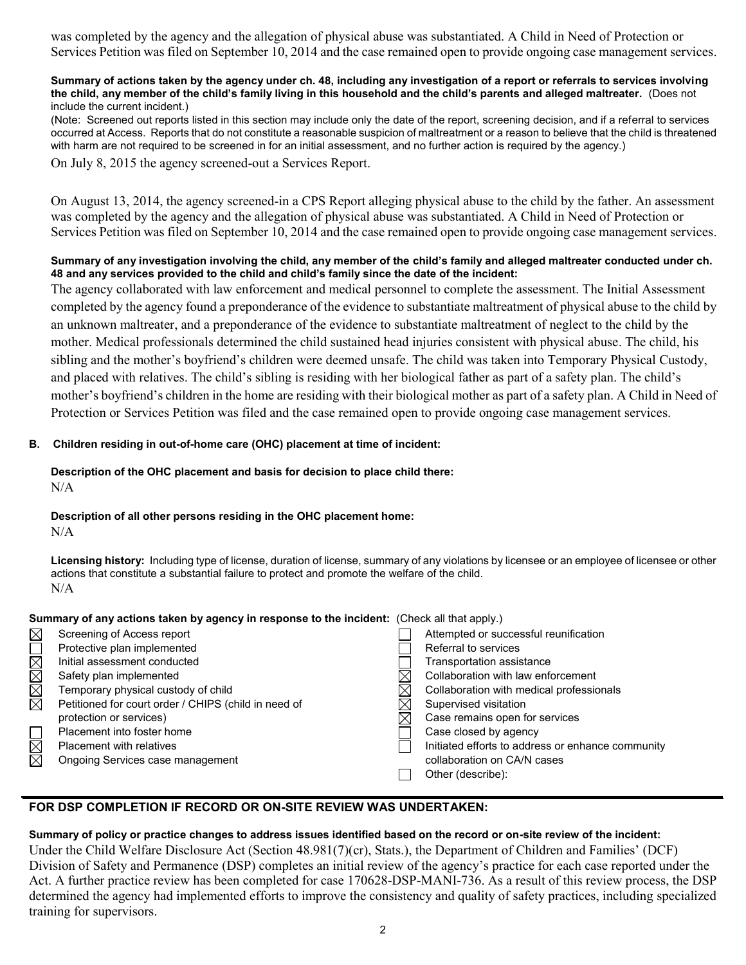was completed by the agency and the allegation of physical abuse was substantiated. A Child in Need of Protection or Services Petition was filed on September 10, 2014 and the case remained open to provide ongoing case management services.

#### **Summary of actions taken by the agency under ch. 48, including any investigation of a report or referrals to services involving the child, any member of the child's family living in this household and the child's parents and alleged maltreater.** (Does not include the current incident.)

(Note: Screened out reports listed in this section may include only the date of the report, screening decision, and if a referral to services occurred at Access. Reports that do not constitute a reasonable suspicion of maltreatment or a reason to believe that the child is threatened with harm are not required to be screened in for an initial assessment, and no further action is required by the agency.)

On July 8, 2015 the agency screened-out a Services Report.

On August 13, 2014, the agency screened-in a CPS Report alleging physical abuse to the child by the father. An assessment was completed by the agency and the allegation of physical abuse was substantiated. A Child in Need of Protection or Services Petition was filed on September 10, 2014 and the case remained open to provide ongoing case management services.

### **Summary of any investigation involving the child, any member of the child's family and alleged maltreater conducted under ch. 48 and any services provided to the child and child's family since the date of the incident:**

The agency collaborated with law enforcement and medical personnel to complete the assessment. The Initial Assessment completed by the agency found a preponderance of the evidence to substantiate maltreatment of physical abuse to the child by an unknown maltreater, and a preponderance of the evidence to substantiate maltreatment of neglect to the child by the mother. Medical professionals determined the child sustained head injuries consistent with physical abuse. The child, his sibling and the mother's boyfriend's children were deemed unsafe. The child was taken into Temporary Physical Custody, and placed with relatives. The child's sibling is residing with her biological father as part of a safety plan. The child's mother's boyfriend's children in the home are residing with their biological mother as part of a safety plan. A Child in Need of Protection or Services Petition was filed and the case remained open to provide ongoing case management services.

## **B. Children residing in out-of-home care (OHC) placement at time of incident:**

### **Description of the OHC placement and basis for decision to place child there:** N/A

### **Description of all other persons residing in the OHC placement home:** N/A

**Licensing history:** Including type of license, duration of license, summary of any violations by licensee or an employee of licensee or other actions that constitute a substantial failure to protect and promote the welfare of the child. N/A

## **Summary of any actions taken by agency in response to the incident:** (Check all that apply.)

| Screening of Access report                           |          | Attempted or successful reunification             |
|------------------------------------------------------|----------|---------------------------------------------------|
| Protective plan implemented                          |          | Referral to services                              |
| Initial assessment conducted                         |          | Transportation assistance                         |
| Safety plan implemented                              |          | Collaboration with law enforcement                |
| Temporary physical custody of child                  | $\times$ | Collaboration with medical professionals          |
| Petitioned for court order / CHIPS (child in need of | $\times$ | Supervised visitation                             |
| protection or services)                              | ⋉        | Case remains open for services                    |
| Placement into foster home                           |          | Case closed by agency                             |
| <b>Placement with relatives</b>                      |          | Initiated efforts to address or enhance community |
| Ongoing Services case management                     |          | collaboration on CA/N cases                       |
|                                                      |          | Other (describe):                                 |
|                                                      |          |                                                   |

## **FOR DSP COMPLETION IF RECORD OR ON-SITE REVIEW WAS UNDERTAKEN:**

### **Summary of policy or practice changes to address issues identified based on the record or on-site review of the incident:**

Under the Child Welfare Disclosure Act (Section 48.981(7)(cr), Stats.), the Department of Children and Families' (DCF) Division of Safety and Permanence (DSP) completes an initial review of the agency's practice for each case reported under the Act. A further practice review has been completed for case 170628-DSP-MANI-736. As a result of this review process, the DSP determined the agency had implemented efforts to improve the consistency and quality of safety practices, including specialized training for supervisors.